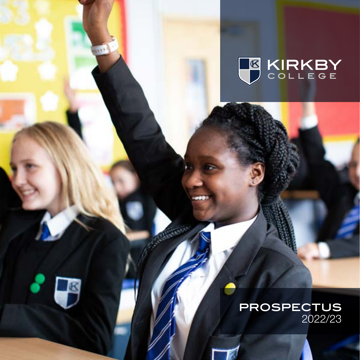





Wir 1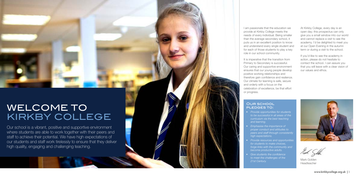Our school is a vibrant, positive and supportive environment where students are able to work together with their peers and staff to achieve their potential. We have high expectations of our students and staff work tirelessly to ensure that they deliver high quality, engaging and challenging teaching.

I am passionate that the education we provide at Kirkby College meets the needs of every individual. Being smaller than the average secondary school, it puts us in an excellent position to know and understand every single student and for each of those students to play a key role in our school community.

### OUR SCHOOL pledges to:

It is imperative that the transition from Primary to Secondary is successful. Our caring and supportive environment ensures that our young people develop positive working relationships and therefore gain confidence and resilence. Our climate for learning is safe, secure and orderly with a focus on the celebration of excellence, be that effort or progress.

- *• Provide opportunities for students to be successful in all areas of the curriculum via the best teaching and learning.*
- *• Emphasise the importance of proper conduct and attitudes to peers and staff through consistently high expectations.*
- *• Provide resources and opportunities for students to make choices, become productive adults.*
- *• Give students the confidence to meet the challenges of the 21st Century.*

*forge links with the community and* 



At Kirkby College, every day is an open day; this prospectus can only give you a small window into our world and cannot replace a visit to see the academy. I'd be delighted to meet you at our Open Evening in the autumn term or during a visit to the school.

If you'd like to see the academy in action, please do not hesitate to contact the school. I can assure you that you will leave with a clear vision of our values and ethos.

### WELCOME TO KIRKBY COLLEGE

Mark Golden Headteacher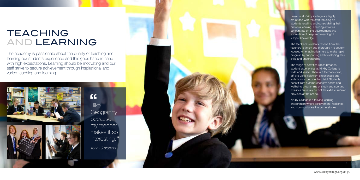The academy is passionate about the quality of teaching and learning our students experience and this goes hand in hand with high expectations. Learning should be motivating and our staff strive to secure achievement through inspirational and varied teaching and learning.





I like **Geography** because my teacher makes it so interesting." *Year 10 student*   $C$ 



## TEACHING AND LEARNING

Lessons at Kirkby College are highly structured with the start focusing on students recalling and consolidating their previous learning. Learning activities concentrate on the development and acquisition of deep and meaningful subject knowledge.

The range of activities which broaden student experiences at Kirkby College is wide and varied. There are thematic days, off-site visits, fieldwork experiences and visits from experts in their field. Students benefit from a comprehensive health and wellbeing programme of study and sporting activities are a key part of the extra curricular provision at the school.

The feedback students receive from their teachers is timely and thorough; it is acutely focused on enabling learners to make rapid progress by supporting and developing their skills and understanding.

Kirkby College is a thriving learning environment where achievement, resilience and community are the cornerstones.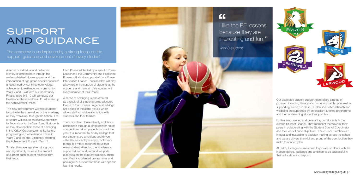A sense of individual and collective identity is fostered both through the well-established House system and the introduction of age group specific 'phases' underpinned by our three core values: achievement, resilience and community. Years 7 and 8 will form our Community Phase, Years 9 & 10 will compose our Resilience Phase and Year 11 will make up the Achievement Phase.

Smaller than average size tutor groups also significantly increase the amount of support each student receives from their tutor.

This new development will help students to cultivate the core values of the academy as they 'move up' through the school. The structure will ensure an effective transition to Secondary for the Year 7 and 8 students as they develop their sense of belonging in the Kirkby College community, before progressing to the Resilience Phase in Years 9 and 10 and, ultimately, entering the Achievement Phase in Year 11.

I like the PE lessons because they are interesting and fun."

Each Phase will be led by a specific Phase Leader and the Community and Resilience Phases will also be supported by a Phase Intervention Leader. These leaders will play a key role in the support of students at the academy and maintain daily contact with every member of their Phase.

A sense of belonging is also created as a result of all students being allocated to one of four Houses. In general, siblings are placed in the same House which allows staff to build relationships with students and their families.

There is a clear House identity and this is established through a range of inter-house competitions taking place throughout the year. It is important to Kirkby College that our students are ambitious and driven – the House identity is a key contributor to this. It is vitally important to us that every student attending the academy is supported and nurtured and we pride ourselves on the support available. There are gifted and talented programmes and packages of support for those with specific learning needs.

### $\epsilon$

## SUPPORT AND GUIDANCE

*Year 8 student* 

The academy is underpinned by a strong focus on the support, guidance and development of every student.



Our dedicated student support team offers a range of provision including literacy and numeracy catch up as well as supporting learners in class. Students' emotional health and wellbeing are supported by an excellent tutoring programme and the non-teaching student support team.

Further empowering and developing our students is the elected Student Council. They represent the views of their peers in collaborating with the Student Council Coordinator and the Senior Leadership Team. The council members are integral and invaluable to decision making across the school and we are all very thankful and proud of the contribution they make to academy life.

At Kirkby College our mission is to provide students with the independence, resilience and ambition to be successful in their education and beyond.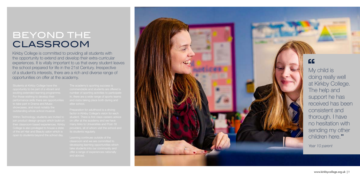performance skills there are opportunities



EE<br>My child is doing really well at Kirkby College. The help and support he has received has been consistent and thorough. I have no hesitation with sending my other children here. "

## BEYOND THE CLASSROOM

*Year 10 parent*

Kirkby College is committed to providing all students with the opportunity to extend and develop their extra-curricular experiences. It is vitally important to us that every student leaves the school prepared for life in the 21st Century. Irrespective of a student's interests, there are a rich and diverse range of opportunities on offer at the academy.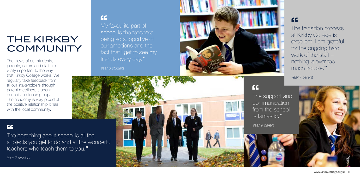My favourite part of school is the teachers being so supportive of our ambitions and the fact that I get to see my friends every day."  $\frac{c}{\frac{My}{200}}$ 

# THE KIRKBY **COMMUNITY**

The views of our students, parents, carers and staff are vitally important to the way that Kirkby College works. We regularly take feedback from all our stakeholders through parent meetings, student council and focus groups. The academy is very proud of the positive relationship it has with the local community.

*Year 8 student*



### $\epsilon$

The support and communication from the school is fantastic. "

*Year 9 parent*

The best thing about school is all the subjects you get to do and all the wonderful teachers who teach them to you. "  $C$ <br>The

The transition process '' at Kirkby College is excellent. I am grateful for the ongoing hard work of the staff – nothing is ever too much trouble. "

*Year 7 parent*



*Year 7 student*